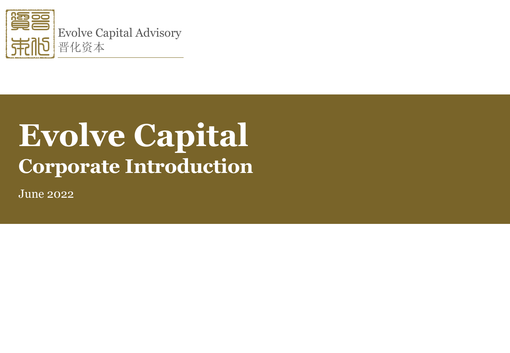

# **Evolve Capital Corporate Introduction**

June 2022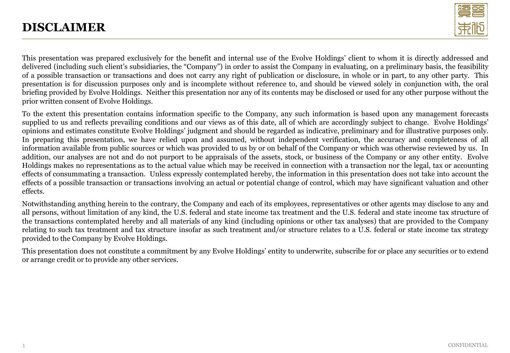### **DISCLAIMER**



This presentation was prepared exclusively for the benefit and internal use of the Evolve Holdings' client to whom it is directly addressed and delivered (including such client's subsidiaries, the "Company") in order to assist the Company in evaluating, on a preliminary basis, the feasibility of a possible transaction or transactions and does not carry any right of publication or disclosure, in whole or in part, to any other party. This presentation is for discussion purposes only and is incomplete without reference to, and should be viewed solely in conjunction with, the oral briefing provided by Evolve Holdings. Neither this presentation nor any of its contents may be disclosed or used for any other purpose without the prior written consent of Evolve Holdings.

To the extent this presentation contains information specific to the Company, any such information is based upon any management forecasts supplied to us and reflects prevailing conditions and our views as of this date, all of which are accordingly subject to change. Evolve Holdings' opinions and estimates constitute Evolve Holdings' judgment and should be regarded as indicative, preliminary and for illustrative purposes only. In preparing this presentation, we have relied upon and assumed, without independent verification, the accuracy and completeness of all information available from public sources or which was provided to us by or on behalf of the Company or which was otherwise reviewed by us. In addition, our analyses are not and do not purport to be appraisals of the assets, stock, or business of the Company or any other entity. Evolve Holdings makes no representations as to the actual value which may be received in connection with a transaction nor the legal, tax or accounting effects of consummating a transaction. Unless expressly contemplated hereby, the information in this presentation does not take into account the effects of a possible transaction or transactions involving an actual or potential change of control, which may have significant valuation and other effects.

Notwithstanding anything herein to the contrary, the Company and each of its employees, representatives or other agents may disclose to any and all persons, without limitation of any kind, the U.S. federal and state income tax treatment and the U.S. federal and state income tax structure of the transactions contemplated hereby and all materials of any kind (including opinions or other tax analyses) that are provided to the Company relating to such tax treatment and tax structure insofar as such treatment and/or structure relates to a U.S. federal or state income tax strategy provided to the Company by Evolve Holdings.

This presentation does not constitute a commitment by any Evolve Holdings' entity to underwrite, subscribe for or place any securities or to extend or arrange credit or to provide any other services.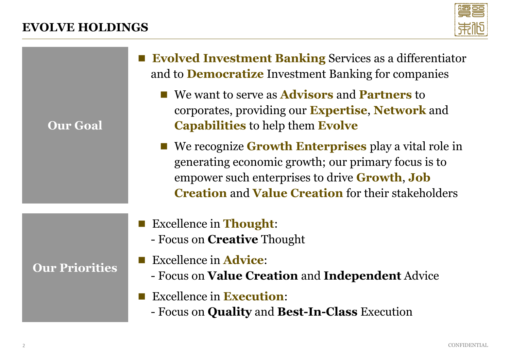### **EVOLVE HOLDINGS**



**Our Goal**

- **Evolved Investment Banking** Services as a differentiator and to **Democratize** Investment Banking for companies
	- We want to serve as **Advisors** and **Partners** to corporates, providing our **Expertise**, **Network** and **Capabilities** to help them **Evolve**
	- We recognize **Growth Enterprises** play a vital role in generating economic growth; our primary focus is to empower such enterprises to drive **Growth**, **Job Creation** and **Value Creation** for their stakeholders
- Excellence in **Thought**:
	- Focus on **Creative** Thought
- Excellence in **Advice**:
	- Focus on **Value Creation** and **Independent** Advice
- Excellence in **Execution**:
	- Focus on **Quality** and **Best-In-Class** Execution

### **Our Priorities**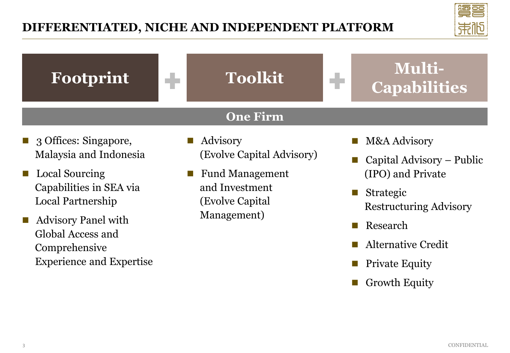

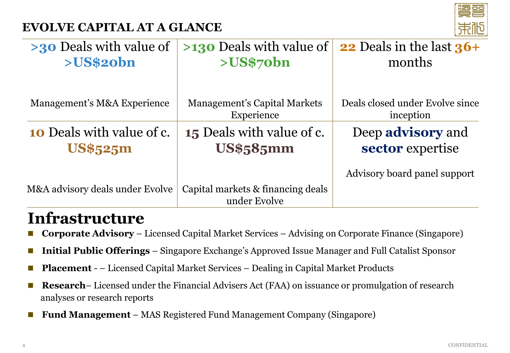## **EVOLVE CAPITAL AT A GLANCE**



| $>30$ Deals with value of<br>>US\$20bn              | >130 Deals with value of<br>>US\$70bn                | 22 Deals in the last $36+$<br>months         |  |
|-----------------------------------------------------|------------------------------------------------------|----------------------------------------------|--|
|                                                     |                                                      |                                              |  |
| Management's M&A Experience                         | Management's Capital Markets<br>Experience           | Deals closed under Evolve since<br>inception |  |
| <b>10</b> Deals with value of c.<br><b>US\$525m</b> | <b>15</b> Deals with value of c.<br><b>US\$585mm</b> | Deep <b>advisory</b> and<br>sector expertise |  |
|                                                     |                                                      | Advisory board panel support                 |  |
| M&A advisory deals under Evolve                     | Capital markets & financing deals<br>under Evolve    |                                              |  |

# **Infrastructure**

- **Corporate Advisory** Licensed Capital Market Services Advising on Corporate Finance (Singapore)
- **Initial Public Offerings** Singapore Exchange's Approved Issue Manager and Full Catalist Sponsor
- **Placement** – Licensed Capital Market Services Dealing in Capital Market Products
- **Research** Licensed under the Financial Advisers Act (FAA) on issuance or promulgation of research analyses or research reports
- ◼ **Fund Management** MAS Registered Fund Management Company (Singapore)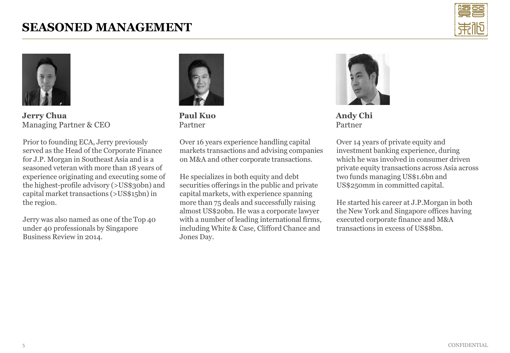### **SEASONED MANAGEMENT**





**Jerry Chua** Managing Partner & CEO

Prior to founding ECA, Jerry previously served as the Head of the Corporate Finance for J.P. Morgan in Southeast Asia and is a seasoned veteran with more than 18 years of experience originating and executing some of the highest-profile advisory (>US\$30bn) and capital market transactions (>US\$15bn) in the region.

Jerry was also named as one of the Top 40 under 40 professionals by Singapore Business Review in 2014.



**Paul Kuo** Partner

Over 16 years experience handling capital markets transactions and advising companies on M&A and other corporate transactions.

He specializes in both equity and debt securities offerings in the public and private capital markets, with experience spanning more than 75 deals and successfully raising almost US\$20bn. He was a corporate lawyer with a number of leading international firms, including White & Case, Clifford Chance and Jones Day.



**Andy Chi** Partner

Over 14 years of private equity and investment banking experience, during which he was involved in consumer driven private equity transactions across Asia across two funds managing US\$1.6bn and US\$250mm in committed capital.

He started his career at J.P.Morgan in both the New York and Singapore offices having executed corporate finance and M&A transactions in excess of US\$8bn.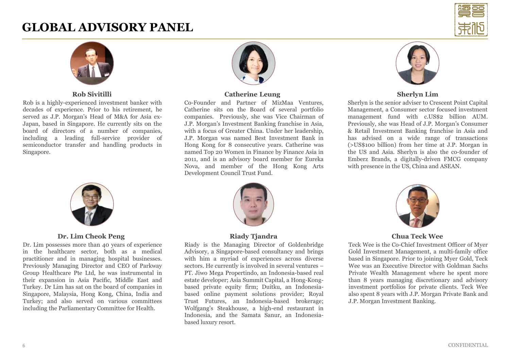### **GLOBAL ADVISORY PANEL**





#### **Rob Sivitilli**

Rob is a highly-experienced investment banker with decades of experience. Prior to his retirement, he served as J.P. Morgan's Head of M&A for Asia ex-Japan, based in Singapore. He currently sits on the board of directors of a number of companies, including a leading full-service provider of semiconductor transfer and handling products in Singapore.



#### **Dr. Lim Cheok Peng**

Dr. Lim possesses more than 40 years of experience in the healthcare sector, both as a medical practitioner and in managing hospital businesses. Previously Managing Director and CEO of Parkway Group Healthcare Pte Ltd, he was instrumental in their expansion in Asia Pacific, Middle East and Turkey. Dr Lim has sat on the board of companies in Singapore, Malaysia, Hong Kong, China, India and Turkey; and also served on various committees including the Parliamentary Committee for Health.



#### **Catherine Leung**

Co-Founder and Partner of MizMaa Ventures, Catherine sits on the Board of several portfolio companies. Previously, she was Vice Chairman of J.P. Morgan's Investment Banking franchise in Asia, with a focus of Greater China. Under her leadership, J.P. Morgan was named Best Investment Bank in Hong Kong for 8 consecutive years. Catherine was named Top 20 Women in Finance by Finance Asia in 2011, and is an advisory board member for Eureka Nova, and member of the Hong Kong Arts Development Council Trust Fund.



#### **Riady Tjandra**

Riady is the Managing Director of Goldenbridge Advisory, a Singapore-based consultancy and brings with him a myriad of experiences across diverse sectors. He currently is involved in several ventures – PT. Jiwo Mega Propertindo, an Indonesia-based real estate developer; Asia Summit Capital, a Hong-Kongbased private equity firm; Duitku, an Indonesiabased online payment solutions provider; Royal Trust Futures, an Indonesia-based brokerage; Wolfgang's Steakhouse, a high-end restaurant in Indonesia, and the Samata Sanur, an Indonesiabased luxury resort.



#### **Sherlyn Lim**

Sherlyn is the senior adviser to Crescent Point Capital Management, a Consumer sector focused investment management fund with c.US\$2 billion AUM. Previously, she was Head of J.P. Morgan's Consumer & Retail Investment Banking franchise in Asia and has advised on a wide range of transactions (>US\$100 billion) from her time at J.P. Morgan in the US and Asia. Sherlyn is also the co-founder of Emberz Brands, a digitally-driven FMCG company with presence in the US, China and ASEAN.



#### **Chua Teck Wee**

Teck Wee is the Co-Chief Investment Officer of Myer Gold Investment Management, a multi-family office based in Singapore. Prior to joining Myer Gold, Teck Wee was an Executive Director with Goldman Sachs Private Wealth Management where he spent more than 8 years managing discretionary and advisory investment portfolios for private clients. Teck Wee also spent 8 years with J.P. Morgan Private Bank and J.P. Morgan Investment Banking.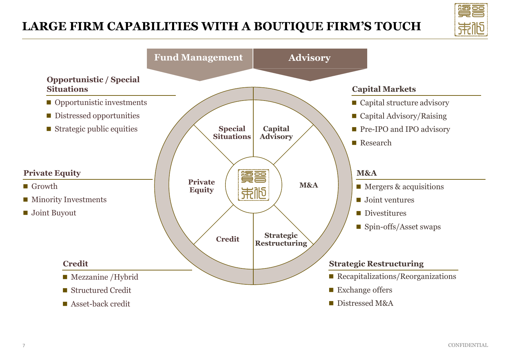# **LARGE FIRM CAPABILITIES WITH A BOUTIQUE FIRM'S TOUCH**



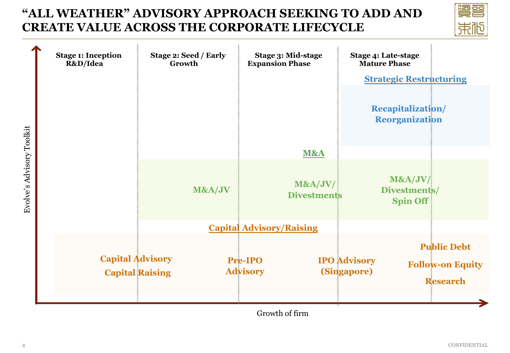## **"ALL WEATHER" ADVISORY APPROACH SEEKING TO ADD AND CREATE VALUE ACROSS THE CORPORATE LIFECYCLE**



|                           | <b>Stage 1: Inception</b><br>R&D/Idea             | Stage 2: Seed / Early<br>Growth | Stage 3: Mid-stage<br><b>Expansion Phase</b> | Stage 4: Late-stage<br><b>Mature Phase</b>                                                             |  |
|---------------------------|---------------------------------------------------|---------------------------------|----------------------------------------------|--------------------------------------------------------------------------------------------------------|--|
|                           |                                                   |                                 |                                              | <b>Strategic Restructuring</b>                                                                         |  |
|                           |                                                   |                                 |                                              | <b>Recapitalization/</b><br><b>Reorganization</b>                                                      |  |
|                           |                                                   |                                 | M&A                                          |                                                                                                        |  |
| Evolve's Advisory Toolkit |                                                   | M&A/JV                          | M&A/JV/<br><b>Divestments</b>                | M&A/JV/<br>Divestments/<br><b>Spin Off</b>                                                             |  |
|                           | <b>Capital Advisory/Raising</b>                   |                                 |                                              |                                                                                                        |  |
|                           | <b>Capital Advisory</b><br><b>Capital Raising</b> |                                 | <b>Pre-IPO</b><br><b>Advisory</b>            | <b>Public Debt</b><br><b>IPO</b> Advisory<br><b>Follow-on Equity</b><br>(Singapore)<br><b>Research</b> |  |

Growth of firm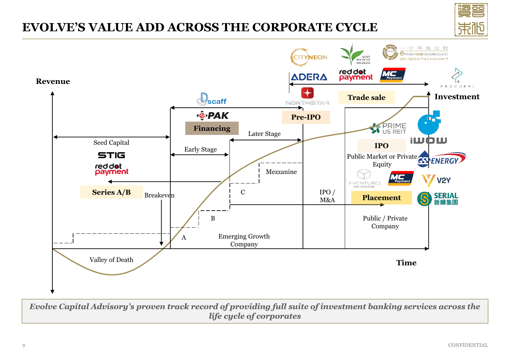

### **EVOLVE'S VALUE ADD ACROSS THE CORPORATE CYCLE**



*Evolve Capital Advisory's proven track record of providing full suite of investment banking services across the life cycle of corporates*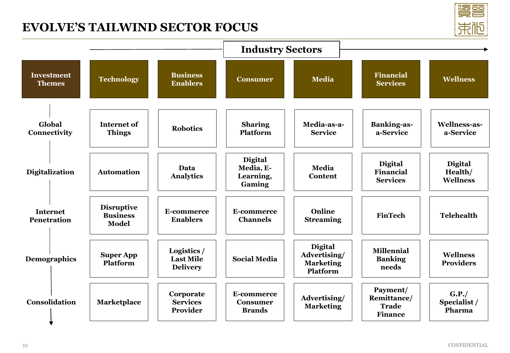### **EVOLVE'S TAILWIND SECTOR FOCUS**

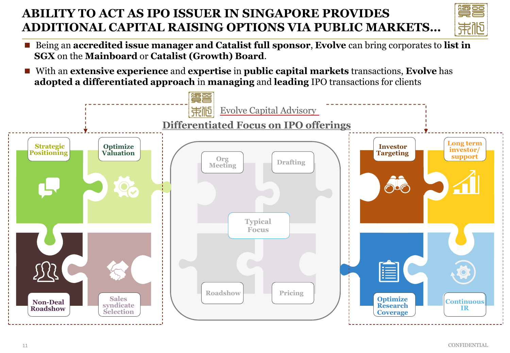# **ABILITY TO ACT AS IPO ISSUER IN SINGAPORE PROVIDES ADDITIONAL CAPITAL RAISING OPTIONS VIA PUBLIC MARKETS…**

- 
- Being an **accredited issue manager and Catalist full sponsor**, **Evolve** can bring corporates to **list in SGX** on the **Mainboard** or **Catalist (Growth) Board**.
- ◼ With an **extensive experience** and **expertise** in **public capital markets** transactions, **Evolve** has **adopted a differentiated approach** in **managing** and **leading** IPO transactions for clients

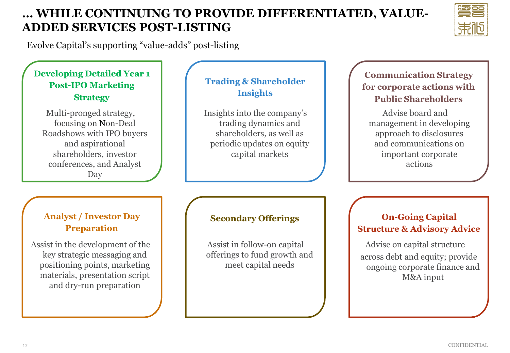### **… WHILE CONTINUING TO PROVIDE DIFFERENTIATED, VALUE-ADDED SERVICES POST-LISTING**



Evolve Capital's supporting "value-adds" post-listing

### **Developing Detailed Year 1 Post-IPO Marketing Strategy**

Multi-pronged strategy, focusing on Non-Deal Roadshows with IPO buyers and aspirational shareholders, investor conferences, and Analyst Day

### **Trading & Shareholder Insights**

Insights into the company's trading dynamics and shareholders, as well as periodic updates on equity capital markets

### **Communication Strategy for corporate actions with Public Shareholders**

Advise board and management in developing approach to disclosures and communications on important corporate actions

#### **Analyst / Investor Day Preparation**

Assist in the development of the key strategic messaging and positioning points, marketing materials, presentation script and dry-run preparation

### **Secondary Offerings**

Assist in follow-on capital offerings to fund growth and meet capital needs

#### **On-Going Capital Structure & Advisory Advice**

Advise on capital structure across debt and equity; provide ongoing corporate finance and M&A input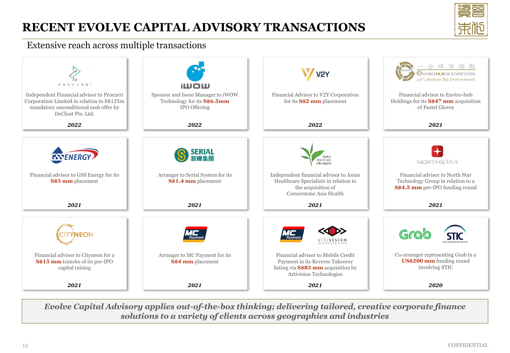# **RECENT EVOLVE CAPITAL ADVISORY TRANSACTIONS**



#### Extensive reach across multiple transactions



*Evolve Capital Advisory applies out-of-the-box thinking; delivering tailored, creative corporate finance solutions to a variety of clients across geographies and industries*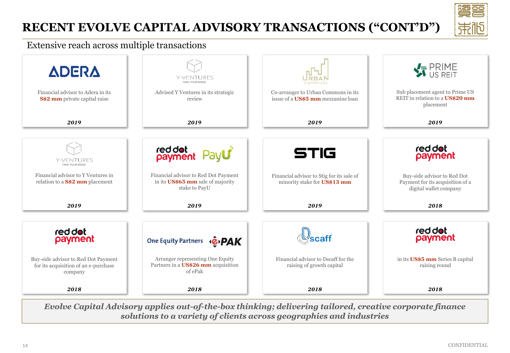# **RECENT EVOLVE CAPITAL ADVISORY TRANSACTIONS ("CONT'D")**



#### Extensive reach across multiple transactions



*Evolve Capital Advisory applies out-of-the-box thinking; delivering tailored, creative corporate finance solutions to a variety of clients across geographies and industries*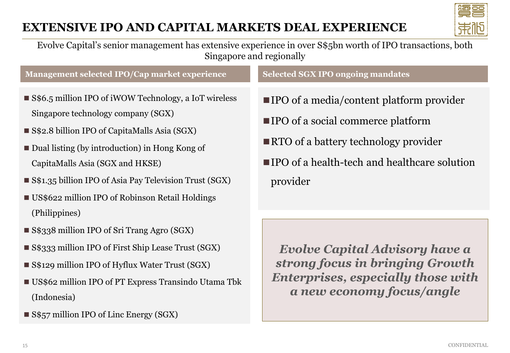## **EXTENSIVE IPO AND CAPITAL MARKETS DEAL EXPERIENCE**



Evolve Capital's senior management has extensive experience in over S\$5bn worth of IPO transactions, both Singapore and regionally

**Management selected IPO/Cap market experience**

**Selected SGX IPO ongoing mandates** 

- S\$6.5 million IPO of iWOW Technology, a IoT wireless Singapore technology company (SGX)
- S\$2.8 billion IPO of CapitaMalls Asia (SGX)
- Dual listing (by introduction) in Hong Kong of CapitaMalls Asia (SGX and HKSE)
- S\$1.35 billion IPO of Asia Pay Television Trust (SGX)
- US\$622 million IPO of Robinson Retail Holdings (Philippines)
- S\$338 million IPO of Sri Trang Agro (SGX)
- S\$333 million IPO of First Ship Lease Trust (SGX)
- S\$129 million IPO of Hyflux Water Trust (SGX)
- US\$62 million IPO of PT Express Transindo Utama Tbk (Indonesia)
- S\$57 million IPO of Linc Energy (SGX)

■ **IPO** of a media/content platform provider

- IPO of a social commerce platform
- RTO of a battery technology provider
- ■IPO of a health-tech and healthcare solution provider

*Evolve Capital Advisory have a strong focus in bringing Growth Enterprises, especially those with a new economy focus/angle*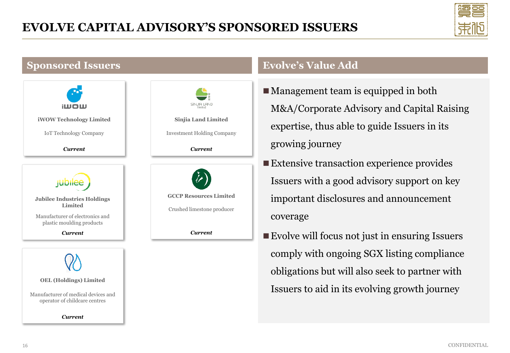

### **Sponsored Issuers**





### **Evolve's Value Add**

- Management team is equipped in both M&A/Corporate Advisory and Capital Raising expertise, thus able to guide Issuers in its growing journey
- Extensive transaction experience provides Issuers with a good advisory support on key important disclosures and announcement coverage
- Evolve will focus not just in ensuring Issuers comply with ongoing SGX listing compliance obligations but will also seek to partner with Issuers to aid in its evolving growth journey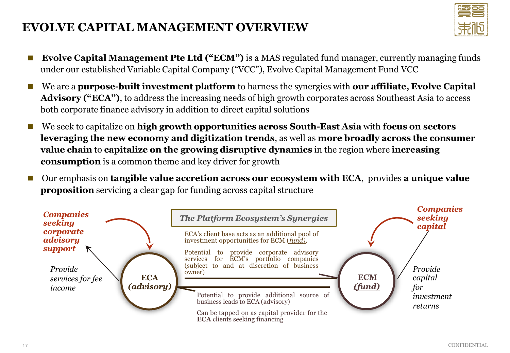## **EVOLVE CAPITAL MANAGEMENT OVERVIEW**

- **Evolve Capital Management Pte Ltd ("ECM")** is a MAS regulated fund manager, currently managing funds under our established Variable Capital Company ("VCC"), Evolve Capital Management Fund VCC
- We are a **purpose-built investment platform** to harness the synergies with **our affiliate, Evolve Capital Advisory ("ECA")**, to address the increasing needs of high growth corporates across Southeast Asia to access both corporate finance advisory in addition to direct capital solutions
- ◼ We seek to capitalize on **high growth opportunities across South-East Asia** with **focus on sectors leveraging the new economy and digitization trends**, as well as **more broadly across the consumer value chain** to **capitalize on the growing disruptive dynamics** in the region where **increasing consumption** is a common theme and key driver for growth
- ◼ Our emphasis on **tangible value accretion across our ecosystem with ECA**, provides **a unique value proposition** servicing a clear gap for funding across capital structure

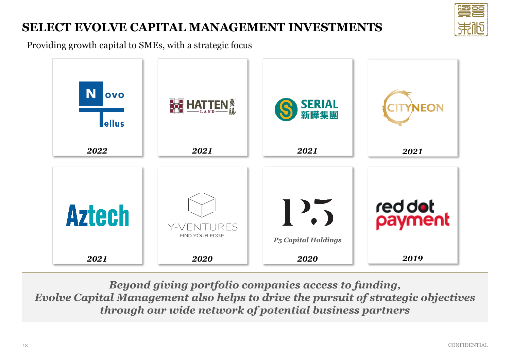# **SELECT EVOLVE CAPITAL MANAGEMENT INVESTMENTS**

Providing growth capital to SMEs, with a strategic focus



*Beyond giving portfolio companies access to funding, Evolve Capital Management also helps to drive the pursuit of strategic objectives through our wide network of potential business partners*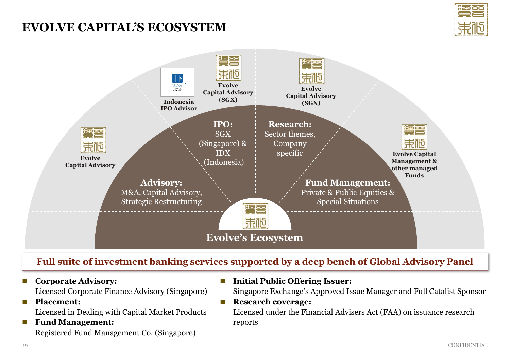### **EVOLVE CAPITAL'S ECOSYSTEM**





### **Full suite of investment banking services supported by a deep bench of Global Advisory Panel**

◼ **Corporate Advisory:** 

Licensed Corporate Finance Advisory (Singapore)

- ◼ **Placement:**  Licensed in Dealing with Capital Market Products
- **Fund Management:** Registered Fund Management Co. (Singapore)

■ Initial Public Offering Issuer:

Singapore Exchange's Approved Issue Manager and Full Catalist Sponsor

■ **Research coverage:** 

Licensed under the Financial Advisers Act (FAA) on issuance research reports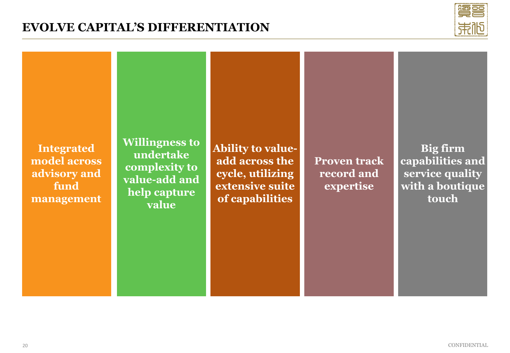### **EVOLVE CAPITAL'S DIFFERENTIATION**



**Integrated model across advisory and fund management** **Willingness to undertake complexity to value-add and help capture value**

**Ability to valueadd across the cycle, utilizing extensive suite of capabilities**

**Proven track record and expertise**

**Big firm capabilities and service quality with a boutique touch**